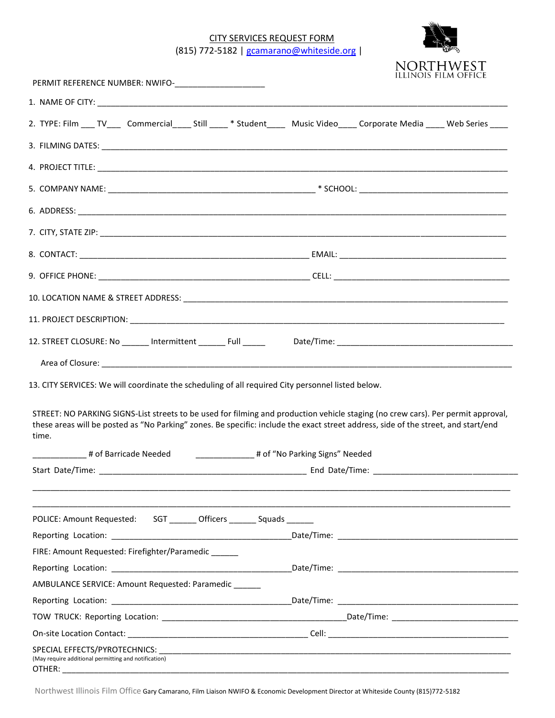CITY SERVICES REQUEST FORM (815) 772-5182 | [gcamarano@whiteside.org](mailto:gcamarano@whiteside.org) |



| 2. TYPE: Film ___ TV____ Commercial_____ Still _____ * Student_____ Music Video_____ Corporate Media ____ Web Series ____                                                                                                                                                       |  |  |
|---------------------------------------------------------------------------------------------------------------------------------------------------------------------------------------------------------------------------------------------------------------------------------|--|--|
|                                                                                                                                                                                                                                                                                 |  |  |
|                                                                                                                                                                                                                                                                                 |  |  |
|                                                                                                                                                                                                                                                                                 |  |  |
|                                                                                                                                                                                                                                                                                 |  |  |
|                                                                                                                                                                                                                                                                                 |  |  |
|                                                                                                                                                                                                                                                                                 |  |  |
|                                                                                                                                                                                                                                                                                 |  |  |
|                                                                                                                                                                                                                                                                                 |  |  |
|                                                                                                                                                                                                                                                                                 |  |  |
|                                                                                                                                                                                                                                                                                 |  |  |
| 12. STREET CLOSURE: No _______ Intermittent ________ Full ______ Date/Time: __________________________________                                                                                                                                                                  |  |  |
|                                                                                                                                                                                                                                                                                 |  |  |
| STREET: NO PARKING SIGNS-List streets to be used for filming and production vehicle staging (no crew cars). Per permit approval,<br>these areas will be posted as "No Parking" zones. Be specific: include the exact street address, side of the street, and start/end<br>time. |  |  |
| 4 of Barricade Needed 1.1 million and the Carlinac Hungary Meeded 1.1 million and the Meeded 1.1 million and t                                                                                                                                                                  |  |  |
|                                                                                                                                                                                                                                                                                 |  |  |
|                                                                                                                                                                                                                                                                                 |  |  |
| POLICE: Amount Requested: SGT _______ Officers _______ Squads ______                                                                                                                                                                                                            |  |  |
|                                                                                                                                                                                                                                                                                 |  |  |
| FIRE: Amount Requested: Firefighter/Paramedic                                                                                                                                                                                                                                   |  |  |
|                                                                                                                                                                                                                                                                                 |  |  |
| AMBULANCE SERVICE: Amount Requested: Paramedic                                                                                                                                                                                                                                  |  |  |
|                                                                                                                                                                                                                                                                                 |  |  |
|                                                                                                                                                                                                                                                                                 |  |  |
|                                                                                                                                                                                                                                                                                 |  |  |
| (May require additional permitting and notification)<br>OTHER:                                                                                                                                                                                                                  |  |  |

Northwest Illinois Film Office Gary Camarano, Film Liaison NWIFO & Economic Development Director at Whiteside County (815)772-5182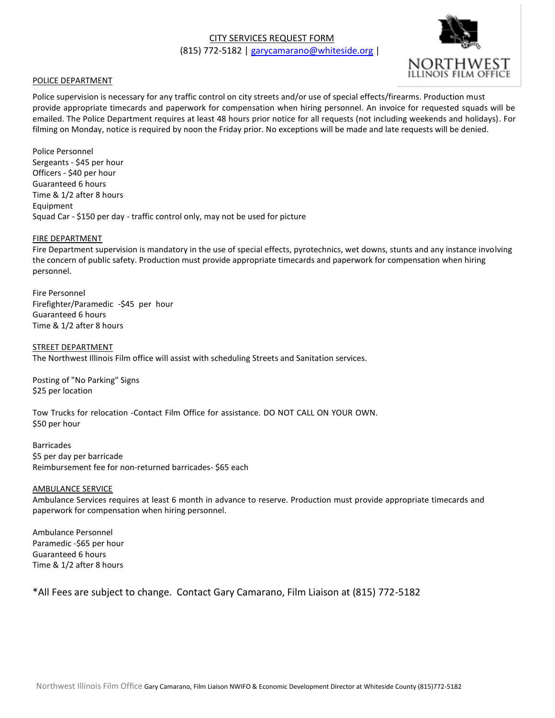

### POLICE DEPARTMENT

Police supervision is necessary for any traffic control on city streets and/or use of special effects/firearms. Production must provide appropriate timecards and paperwork for compensation when hiring personnel. An invoice for requested squads will be emailed. The Police Department requires at least 48 hours prior notice for all requests (not including weekends and holidays). For filming on Monday, notice is required by noon the Friday prior. No exceptions will be made and late requests will be denied.

Police Personnel Sergeants - \$45 per hour Officers - \$40 per hour Guaranteed 6 hours Time & 1/2 after 8 hours Equipment Squad Car - \$150 per day - traffic control only, may not be used for picture

#### FIRE DEPARTMENT

Fire Department supervision is mandatory in the use of special effects, pyrotechnics, wet downs, stunts and any instance involving the concern of public safety. Production must provide appropriate timecards and paperwork for compensation when hiring personnel.

Fire Personnel Firefighter/Paramedic -\$45 per hour Guaranteed 6 hours Time & 1/2 after 8 hours

STREET DEPARTMENT The Northwest Illinois Film office will assist with scheduling Streets and Sanitation services.

Posting of "No Parking" Signs \$25 per location

Tow Trucks for relocation -Contact Film Office for assistance. DO NOT CALL ON YOUR OWN. \$50 per hour

Barricades \$5 per day per barricade Reimbursement fee for non-returned barricades- \$65 each

#### AMBULANCE SERVICE

Ambulance Services requires at least 6 month in advance to reserve. Production must provide appropriate timecards and paperwork for compensation when hiring personnel.

Ambulance Personnel Paramedic -\$65 per hour Guaranteed 6 hours Time & 1/2 after 8 hours

\*All Fees are subject to change. Contact Gary Camarano, Film Liaison at (815) 772-5182